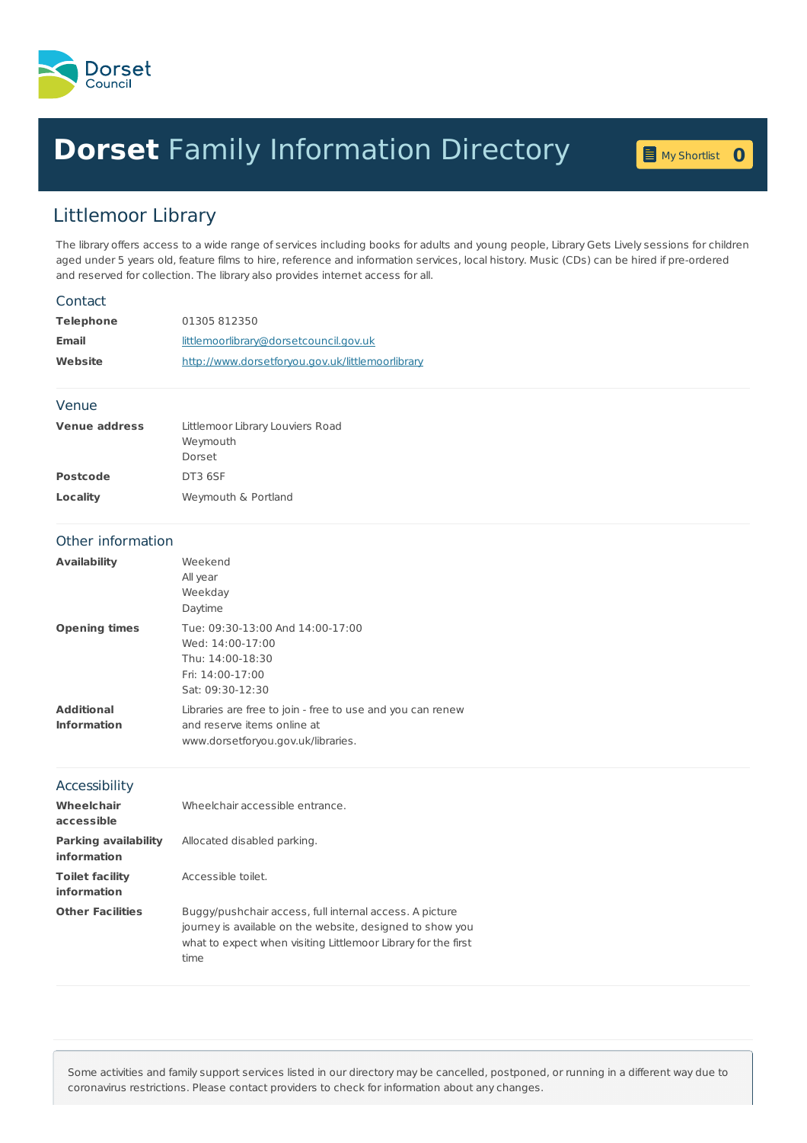

## **Dorset** Family [Information](home.page) Directory **<sup>0</sup>**

My [Shortlist](shortlist.page) 0

## Littlemoor Library

The library offers access to a wide range of services including books for adults and young people, Library Gets Lively sessions for children aged under 5 years old, feature films to hire, reference and information services, local history. Music (CDs) can be hired if pre-ordered and reserved for collection. The library also provides internet access for all.

| Contact                                           |                                                                                                                                                                                               |
|---------------------------------------------------|-----------------------------------------------------------------------------------------------------------------------------------------------------------------------------------------------|
| <b>Telephone</b>                                  | 01305 812350                                                                                                                                                                                  |
| <b>Email</b>                                      | littlemoorlibrary@dorsetcouncil.gov.uk                                                                                                                                                        |
| Website                                           | http://www.dorsetforyou.gov.uk/littlemoorlibrary                                                                                                                                              |
| Venue                                             |                                                                                                                                                                                               |
| <b>Venue address</b>                              | Littlemoor Library Louviers Road<br>Weymouth<br>Dorset                                                                                                                                        |
| <b>Postcode</b>                                   | DT3 6SF                                                                                                                                                                                       |
| <b>Locality</b>                                   | Weymouth & Portland                                                                                                                                                                           |
| Other information                                 |                                                                                                                                                                                               |
| <b>Availability</b>                               | Weekend<br>All year<br>Weekday<br>Daytime                                                                                                                                                     |
| <b>Opening times</b>                              | Tue: 09:30-13:00 And 14:00-17:00<br>Wed: 14:00-17:00<br>Thu: 14:00-18:30<br>Fri: 14:00-17:00<br>Sat: 09:30-12:30                                                                              |
| <b>Additional</b><br><b>Information</b>           | Libraries are free to join - free to use and you can renew<br>and reserve items online at<br>www.dorsetforyou.gov.uk/libraries.                                                               |
| Accessibility                                     |                                                                                                                                                                                               |
| Wheelchair<br>accessible                          | Wheelchair accessible entrance.                                                                                                                                                               |
| <b>Parking availability</b><br><b>information</b> | Allocated disabled parking.                                                                                                                                                                   |
| <b>Toilet facility</b><br><b>information</b>      | Accessible toilet.                                                                                                                                                                            |
| <b>Other Facilities</b>                           | Buggy/pushchair access, full internal access. A picture<br>journey is available on the website, designed to show you<br>what to expect when visiting Littlemoor Library for the first<br>time |

Some activities and family support services listed in our directory may be cancelled, postponed, or running in a different way due to coronavirus restrictions. Please contact providers to check for information about any changes.